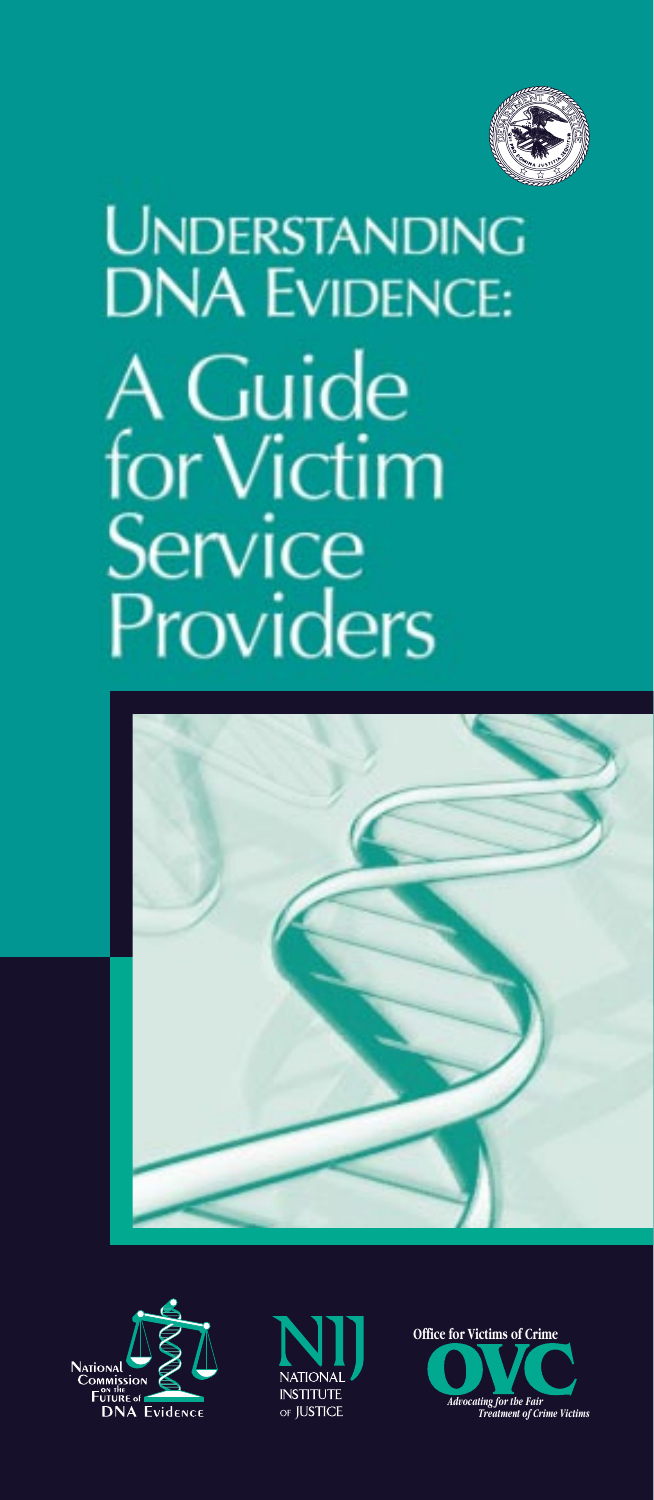

# **UNDERSTANDING DNA EVIDENCE:** A Guide for Victim Service Providers







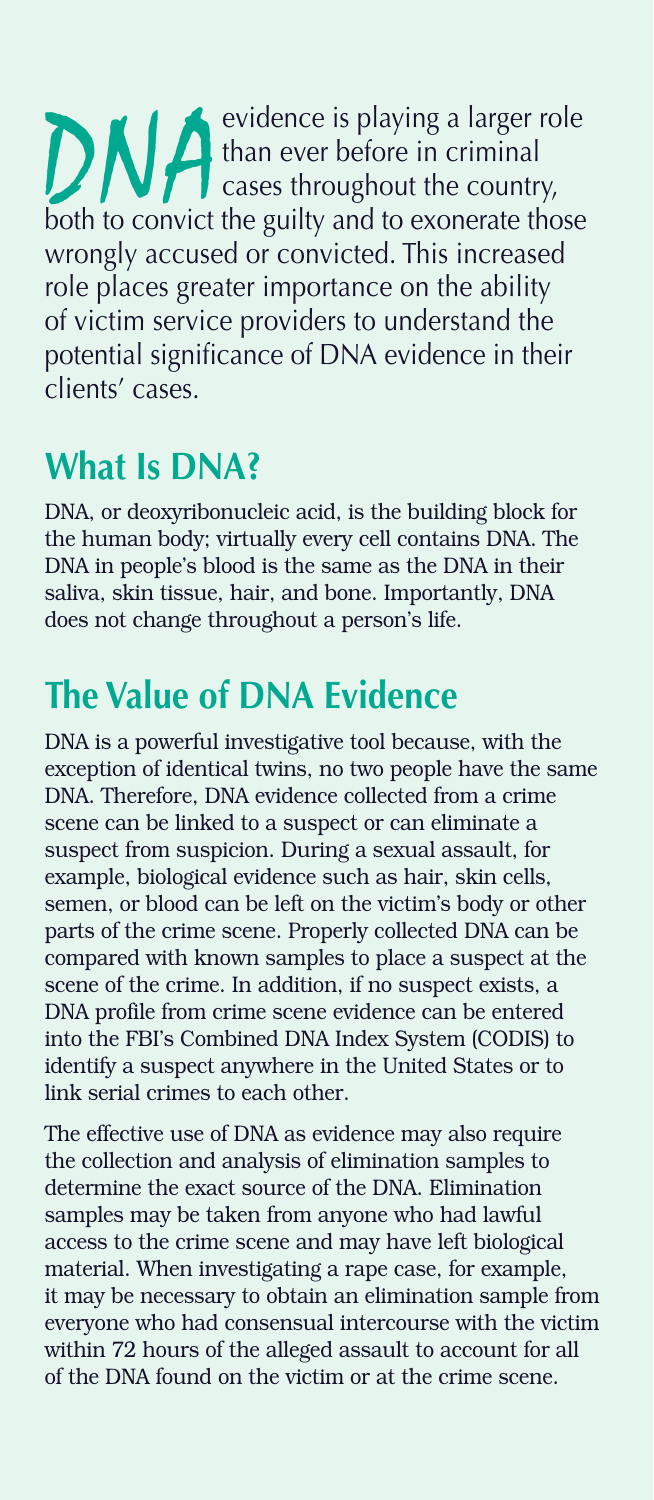**DNA** evidence is playing a larger role<br>than ever before in criminal<br>both to convict the guilty and to exonerate those than ever before in criminal cases throughout the country, both to convict the guilty and to exonerate those wrongly accused or convicted. This increased role places greater importance on the ability of victim service providers to understand the potential significance of DNA evidence in their clients' cases.

### **What Is DNA?**

DNA, or deoxyribonucleic acid, is the building block for the human body; virtually every cell contains DNA. The DNA in people's blood is the same as the DNA in their saliva, skin tissue, hair, and bone. Importantly, DNA does not change throughout a person's life.

### **The Value of DNA Evidence**

DNA is a powerful investigative tool because, with the exception of identical twins, no two people have the same DNA. Therefore, DNA evidence collected from a crime scene can be linked to a suspect or can eliminate a suspect from suspicion. During a sexual assault, for example, biological evidence such as hair, skin cells, semen, or blood can be left on the victim's body or other parts of the crime scene. Properly collected DNA can be compared with known samples to place a suspect at the scene of the crime. In addition, if no suspect exists, a DNA profile from crime scene evidence can be entered into the FBI's Combined DNA Index System (CODIS) to identify a suspect anywhere in the United States or to link serial crimes to each other.

The effective use of DNA as evidence may also require the collection and analysis of elimination samples to determine the exact source of the DNA. Elimination samples may be taken from anyone who had lawful access to the crime scene and may have left biological material. When investigating a rape case, for example, it may be necessary to obtain an elimination sample from everyone who had consensual intercourse with the victim within 72 hours of the alleged assault to account for all of the DNA found on the victim or at the crime scene.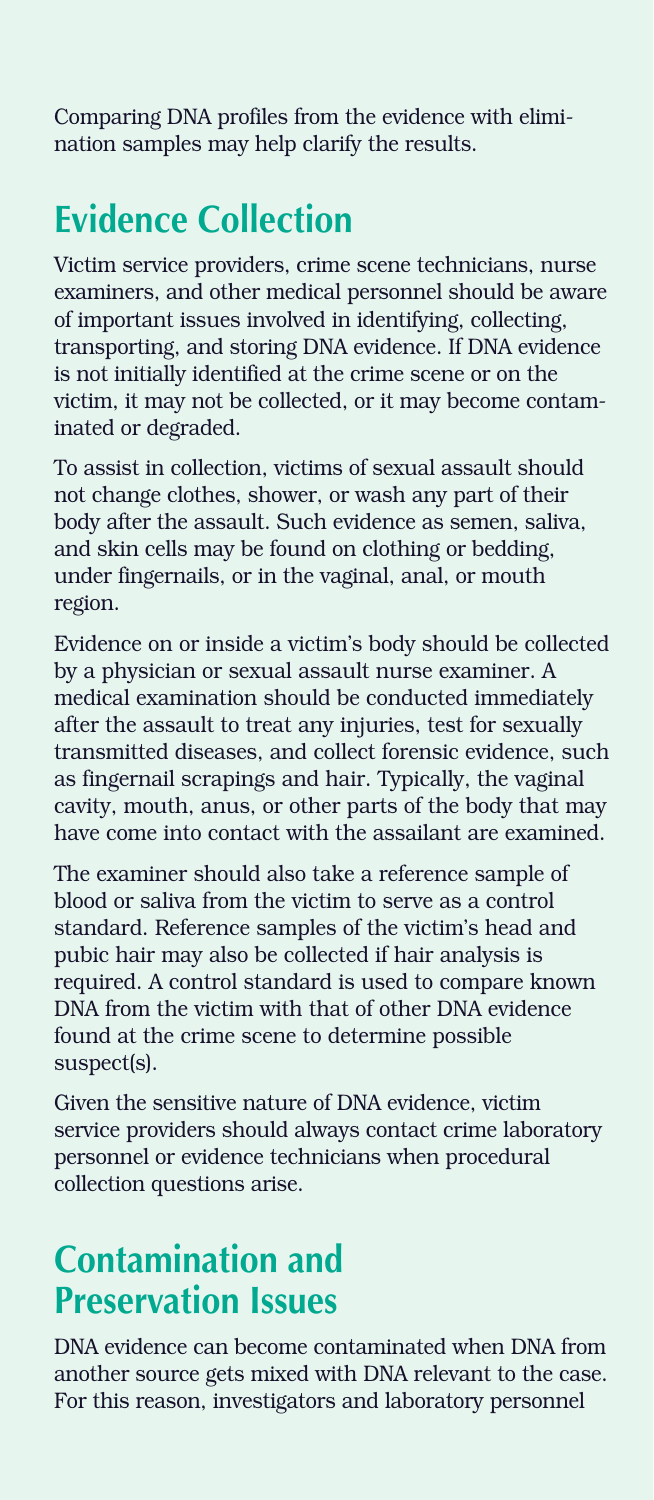Comparing DNA profiles from the evidence with elimination samples may help clarify the results.

### **Evidence Collection**

Victim service providers, crime scene technicians, nurse examiners, and other medical personnel should be aware of important issues involved in identifying, collecting, transporting, and storing DNA evidence. If DNA evidence is not initially identified at the crime scene or on the victim, it may not be collected, or it may become contaminated or degraded.

To assist in collection, victims of sexual assault should not change clothes, shower, or wash any part of their body after the assault. Such evidence as semen, saliva, and skin cells may be found on clothing or bedding, under fingernails, or in the vaginal, anal, or mouth region.

Evidence on or inside a victim's body should be collected by a physician or sexual assault nurse examiner. A medical examination should be conducted immediately after the assault to treat any injuries, test for sexually transmitted diseases, and collect forensic evidence, such as fingernail scrapings and hair. Typically, the vaginal cavity, mouth, anus, or other parts of the body that may have come into contact with the assailant are examined.

The examiner should also take a reference sample of blood or saliva from the victim to serve as a control standard. Reference samples of the victim's head and pubic hair may also be collected if hair analysis is required. A control standard is used to compare known DNA from the victim with that of other DNA evidence found at the crime scene to determine possible suspect(s).

Given the sensitive nature of DNA evidence, victim service providers should always contact crime laboratory personnel or evidence technicians when procedural collection questions arise.

### **Contamination and Preservation Issues**

DNA evidence can become contaminated when DNA from another source gets mixed with DNA relevant to the case. For this reason, investigators and laboratory personnel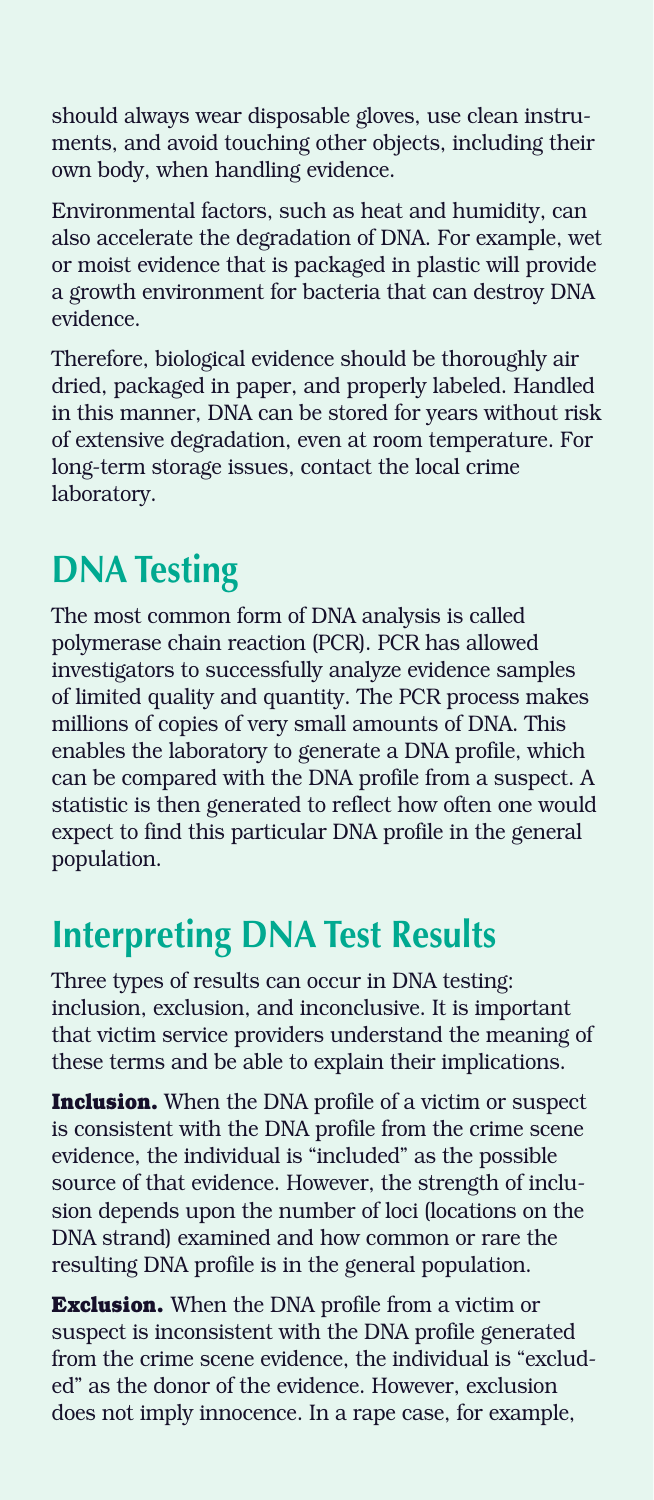should always wear disposable gloves, use clean instruments, and avoid touching other objects, including their own body, when handling evidence.

Environmental factors, such as heat and humidity, can also accelerate the degradation of DNA. For example, wet or moist evidence that is packaged in plastic will provide a growth environment for bacteria that can destroy DNA evidence.

Therefore, biological evidence should be thoroughly air dried, packaged in paper, and properly labeled. Handled in this manner, DNA can be stored for years without risk of extensive degradation, even at room temperature. For long-term storage issues, contact the local crime laboratory.

## **DNA Testing**

The most common form of DNA analysis is called polymerase chain reaction (PCR). PCR has allowed investigators to successfully analyze evidence samples of limited quality and quantity. The PCR process makes millions of copies of very small amounts of DNA. This enables the laboratory to generate a DNA profile, which can be compared with the DNA profile from a suspect. A statistic is then generated to reflect how often one would expect to find this particular DNA profile in the general population.

### **Interpreting DNA Test Results**

Three types of results can occur in DNA testing: inclusion, exclusion, and inconclusive. It is important that victim service providers understand the meaning of these terms and be able to explain their implications.

**Inclusion.** When the DNA profile of a victim or suspect is consistent with the DNA profile from the crime scene evidence, the individual is "included" as the possible source of that evidence. However, the strength of inclusion depends upon the number of loci (locations on the DNA strand) examined and how common or rare the resulting DNA profile is in the general population.

**Exclusion.** When the DNA profile from a victim or suspect is inconsistent with the DNA profile generated from the crime scene evidence, the individual is "excluded" as the donor of the evidence. However, exclusion does not imply innocence. In a rape case, for example,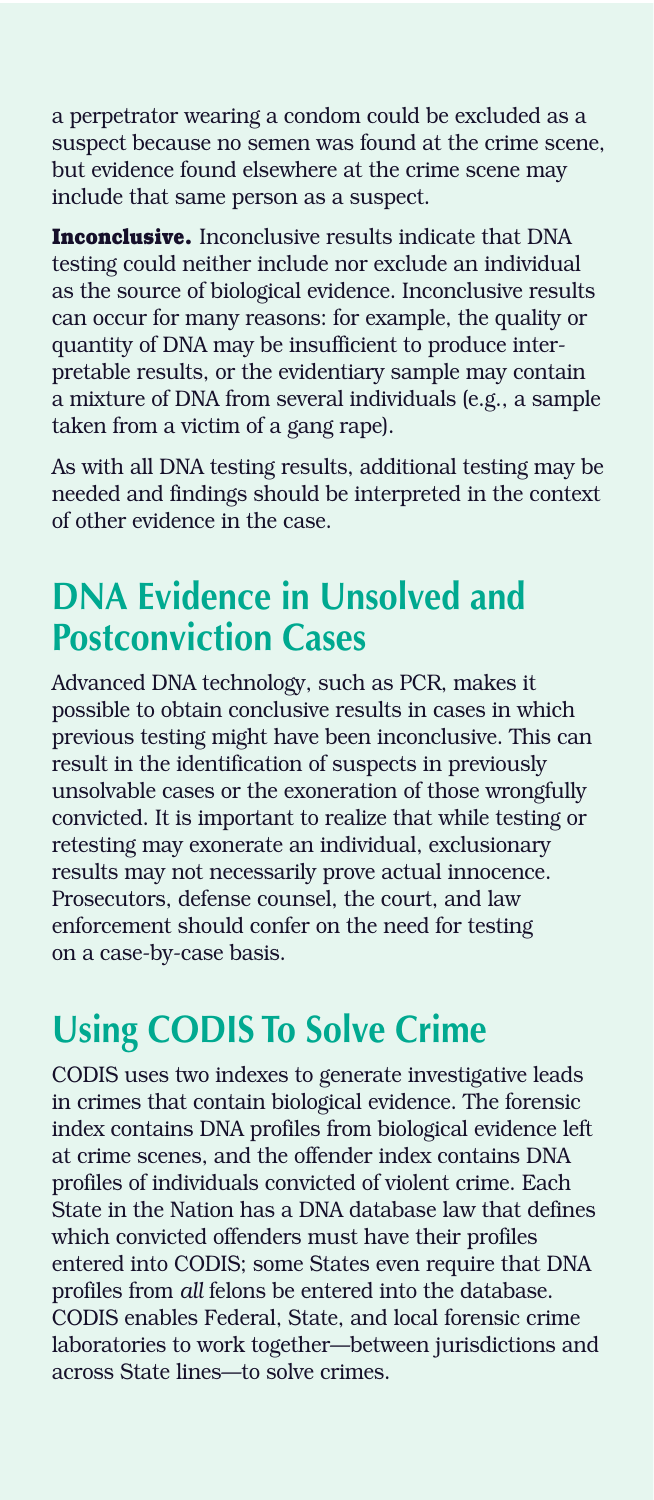a perpetrator wearing a condom could be excluded as a suspect because no semen was found at the crime scene, but evidence found elsewhere at the crime scene may include that same person as a suspect.

**Inconclusive.** Inconclusive results indicate that DNA testing could neither include nor exclude an individual as the source of biological evidence. Inconclusive results can occur for many reasons: for example, the quality or quantity of DNA may be insufficient to produce interpretable results, or the evidentiary sample may contain a mixture of DNA from several individuals (e.g., a sample taken from a victim of a gang rape).

As with all DNA testing results, additional testing may be needed and findings should be interpreted in the context of other evidence in the case.

### **DNA Evidence in Unsolved and Postconviction Cases**

Advanced DNA technology, such as PCR, makes it possible to obtain conclusive results in cases in which previous testing might have been inconclusive. This can result in the identification of suspects in previously unsolvable cases or the exoneration of those wrongfully convicted. It is important to realize that while testing or retesting may exonerate an individual, exclusionary results may not necessarily prove actual innocence. Prosecutors, defense counsel, the court, and law enforcement should confer on the need for testing on a case-by-case basis.

### **Using CODIS To Solve Crime**

CODIS uses two indexes to generate investigative leads in crimes that contain biological evidence. The forensic index contains DNA profiles from biological evidence left at crime scenes, and the offender index contains DNA profiles of individuals convicted of violent crime. Each State in the Nation has a DNA database law that defines which convicted offenders must have their profiles entered into CODIS; some States even require that DNA profiles from *all* felons be entered into the database. CODIS enables Federal, State, and local forensic crime laboratories to work together—between jurisdictions and across State lines—to solve crimes.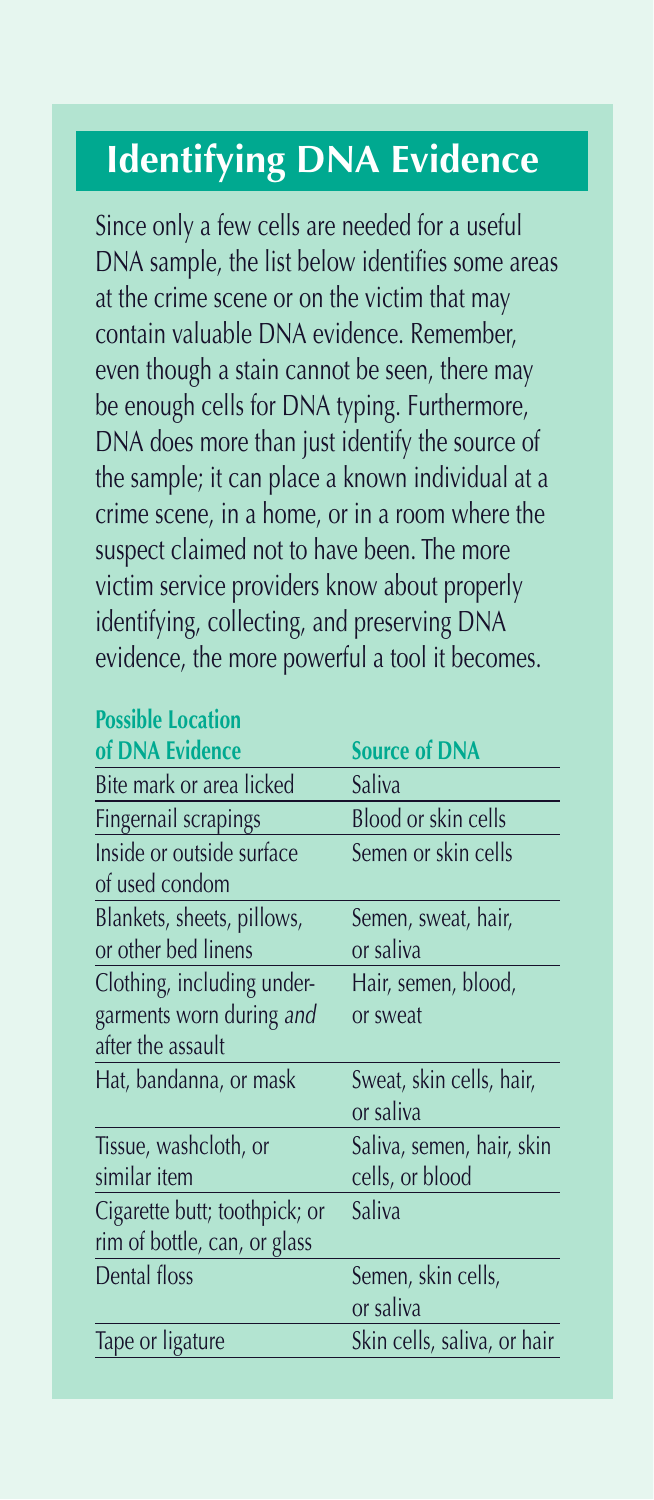# **Identifying DNA Evidence**

Since only a few cells are needed for a useful DNA sample, the list below identifies some areas at the crime scene or on the victim that may contain valuable DNA evidence. Remember, even though a stain cannot be seen, there may be enough cells for DNA typing. Furthermore, DNA does more than just identify the source of the sample; it can place a known individual at a crime scene, in a home, or in a room where the suspect claimed not to have been. The more victim service providers know about properly identifying, collecting, and preserving DNA evidence, the more powerful a tool it becomes.

| <b>Possible Location</b>      |                             |
|-------------------------------|-----------------------------|
| of DNA Evidence               | <b>Source of DNA</b>        |
| Bite mark or area licked      | Saliva                      |
| Fingernail scrapings          | Blood or skin cells         |
| Inside or outside surface     | Semen or skin cells         |
| of used condom                |                             |
| Blankets, sheets, pillows,    | Semen, sweat, hair,         |
| or other bed linens           | or saliva                   |
| Clothing, including under-    | Hair, semen, blood,         |
| garments worn during and      | or sweat                    |
| after the assault             |                             |
| Hat, bandanna, or mask        | Sweat, skin cells, hair,    |
|                               | or saliva                   |
| Tissue, washcloth, or         | Saliva, semen, hair, skin   |
| similar item                  | cells, or blood             |
| Cigarette butt; toothpick; or | Saliva                      |
| rim of bottle, can, or glass  |                             |
| Dental floss                  | Semen, skin cells,          |
|                               | or saliva                   |
| Tape or ligature              | Skin cells, saliva, or hair |
|                               |                             |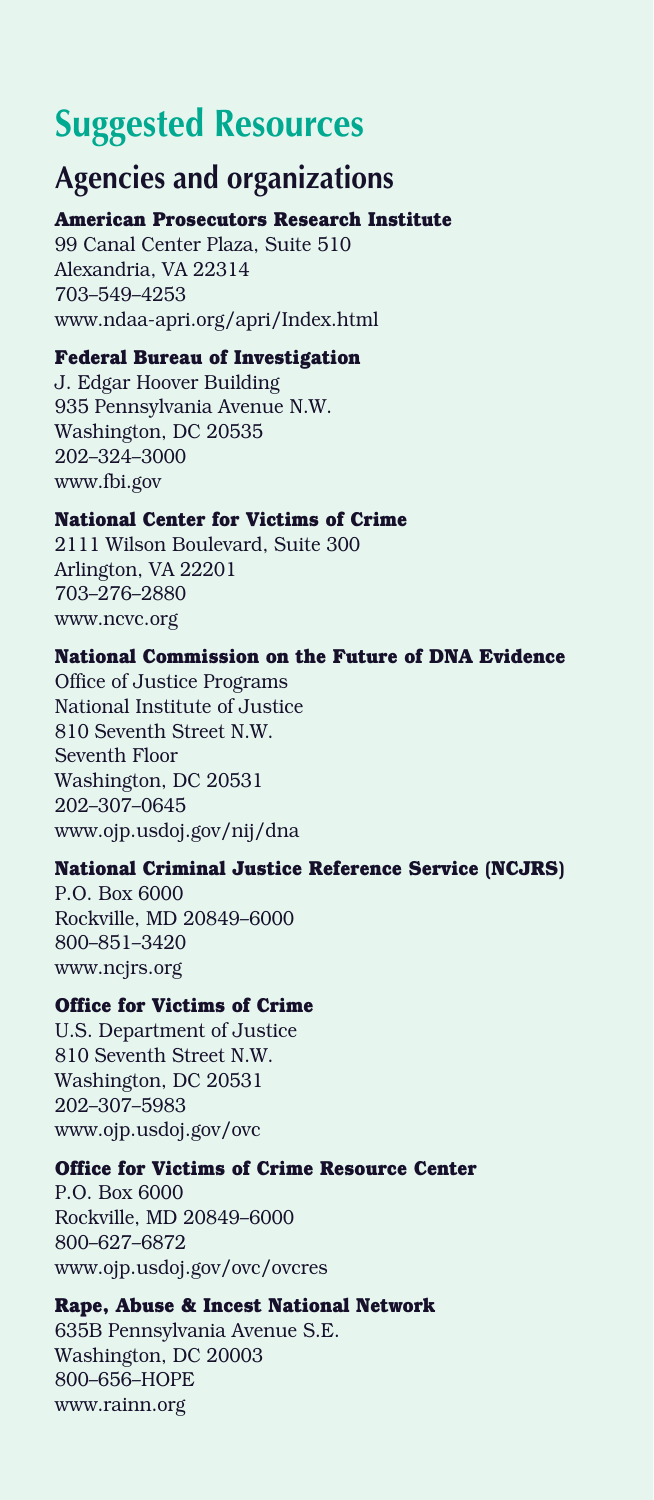### **Suggested Resources**

### **Agencies and organizations**

#### **American Prosecutors Research Institute**

99 Canal Center Plaza, Suite 510 Alexandria, VA 22314 703–549–4253 www.ndaa-apri.org/apri/Index.html

#### **Federal Bureau of Investigation**

J. Edgar Hoover Building 935 Pennsylvania Avenue N.W. Washington, DC 20535 202–324–3000 www.fbi.gov

#### **National Center for Victims of Crime**

2111 Wilson Boulevard, Suite 300 Arlington, VA 22201 703–276–2880 www.ncvc.org

#### **National Commission on the Future of DNA Evidence**

Office of Justice Programs National Institute of Justice 810 Seventh Street N.W. Seventh Floor Washington, DC 20531 202–307–0645 www.ojp.usdoj.gov/nij/dna

#### **National Criminal Justice Reference Service (NCJRS)**

P.O. Box 6000 Rockville, MD 20849–6000 800–851–3420 www.ncjrs.org

#### **Office for Victims of Crime**

U.S. Department of Justice 810 Seventh Street N.W. Washington, DC 20531 202–307–5983 www.ojp.usdoj.gov/ovc

#### **Office for Victims of Crime Resource Center**

P.O. Box 6000 Rockville, MD 20849–6000 800–627–6872 www.ojp.usdoj.gov/ovc/ovcres

#### **Rape, Abuse & Incest National Network**

635B Pennsylvania Avenue S.E. Washington, DC 20003 800–656–HOPE www.rainn.org